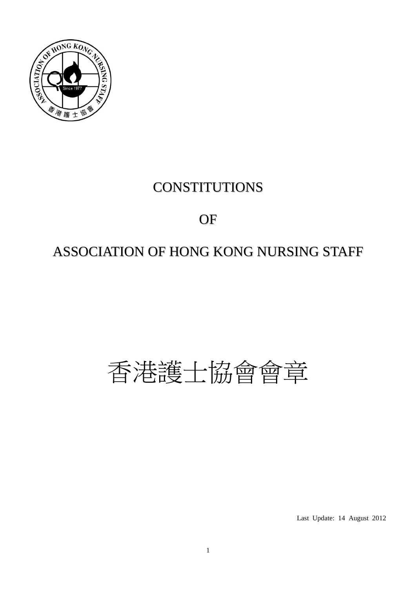

# **CONSTITUTIONS**

# OF

# ASSOCIATION OF HONG KONG NURSING STAFF

# 香港護士協會會章

Last Update: 14 August 2012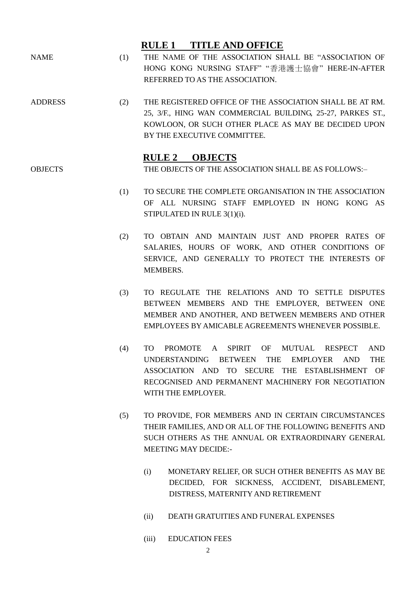# **RULE 1 TITLE AND OFFICE**

- NAME (1) THE NAME OF THE ASSOCIATION SHALL BE "ASSOCIATION OF HONG KONG NURSING STAFF" "香港護士協會" HERE-IN-AFTER REFERRED TO AS THE ASSOCIATION.
- ADDRESS (2) THE REGISTERED OFFICE OF THE ASSOCIATION SHALL BE AT RM. 25, 3/F., HING WAN COMMERCIAL BUILDING, 25-27, PARKES ST., KOWLOON, OR SUCH OTHER PLACE AS MAY BE DECIDED UPON BY THE EXECUTIVE COMMITTEE.

### **RULE 2 OBJECTS**

OBJECTS THE OBJECTS OF THE ASSOCIATION SHALL BE AS FOLLOWS:-

- (1) TO SECURE THE COMPLETE ORGANISATION IN THE ASSOCIATION OF ALL NURSING STAFF EMPLOYED IN HONG KONG AS STIPULATED IN RULE 3(1)(i).
- (2) TO OBTAIN AND MAINTAIN JUST AND PROPER RATES OF SALARIES, HOURS OF WORK, AND OTHER CONDITIONS OF SERVICE, AND GENERALLY TO PROTECT THE INTERESTS OF MEMBERS.
- (3) TO REGULATE THE RELATIONS AND TO SETTLE DISPUTES BETWEEN MEMBERS AND THE EMPLOYER, BETWEEN ONE MEMBER AND ANOTHER, AND BETWEEN MEMBERS AND OTHER EMPLOYEES BY AMICABLE AGREEMENTS WHENEVER POSSIBLE.
- (4) TO PROMOTE A SPIRIT OF MUTUAL RESPECT AND UNDERSTANDING BETWEEN THE EMPLOYER AND THE ASSOCIATION AND TO SECURE THE ESTABLISHMENT OF RECOGNISED AND PERMANENT MACHINERY FOR NEGOTIATION WITH THE EMPLOYER.
- (5) TO PROVIDE, FOR MEMBERS AND IN CERTAIN CIRCUMSTANCES THEIR FAMILIES, AND OR ALL OF THE FOLLOWING BENEFITS AND SUCH OTHERS AS THE ANNUAL OR EXTRAORDINARY GENERAL MEETING MAY DECIDE:-
	- (i) MONETARY RELIEF, OR SUCH OTHER BENEFITS AS MAY BE DECIDED, FOR SICKNESS, ACCIDENT, DISABLEMENT, DISTRESS, MATERNITY AND RETIREMENT
	- (ii) DEATH GRATUITIES AND FUNERAL EXPENSES
	- (iii) EDUCATION FEES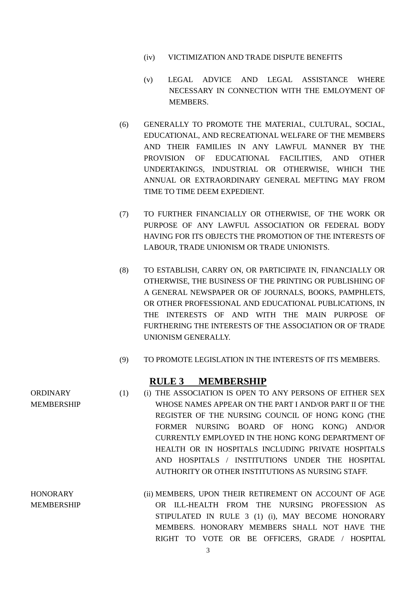- (iv) VICTIMIZATION AND TRADE DISPUTE BENEFITS
- (v) LEGAL ADVICE AND LEGAL ASSISTANCE WHERE NECESSARY IN CONNECTION WITH THE EMLOYMENT OF MEMBERS.
- (6) GENERALLY TO PROMOTE THE MATERIAL, CULTURAL, SOCIAL, EDUCATIONAL, AND RECREATIONAL WELFARE OF THE MEMBERS AND THEIR FAMILIES IN ANY LAWFUL MANNER BY THE PROVISION OF EDUCATIONAL FACILITIES, AND OTHER UNDERTAKINGS, INDUSTRIAL OR OTHERWISE, WHICH THE ANNUAL OR EXTRAORDINARY GENERAL MEFTING MAY FROM TIME TO TIME DEEM EXPEDIENT.
- (7) TO FURTHER FINANCIALLY OR OTHERWISE, OF THE WORK OR PURPOSE OF ANY LAWFUL ASSOCIATION OR FEDERAL BODY HAVING FOR ITS OBJECTS THE PROMOTION OF THE INTERESTS OF LABOUR, TRADE UNIONISM OR TRADE UNIONISTS.
- (8) TO ESTABLISH, CARRY ON, OR PARTICIPATE IN, FINANCIALLY OR OTHERWISE, THE BUSINESS OF THE PRINTING OR PUBLISHING OF A GENERAL NEWSPAPER OR OF JOURNALS, BOOKS, PAMPHLETS, OR OTHER PROFESSIONAL AND EDUCATIONAL PUBLICATIONS, IN THE INTERESTS OF AND WITH THE MAIN PURPOSE OF FURTHERING THE INTERESTS OF THE ASSOCIATION OR OF TRADE UNIONISM GENERALLY.
- (9) TO PROMOTE LEGISLATION IN THE INTERESTS OF ITS MEMBERS.

#### **RULE 3 MEMBERSHIP**

- (1) (i) THE ASSOCIATION IS OPEN TO ANY PERSONS OF EITHER SEX WHOSE NAMES APPEAR ON THE PART I AND/OR PART II OF THE REGISTER OF THE NURSING COUNCIL OF HONG KONG (THE FORMER NURSING BOARD OF HONG KONG) AND/OR CURRENTLY EMPLOYED IN THE HONG KONG DEPARTMENT OF HEALTH OR IN HOSPITALS INCLUDING PRIVATE HOSPITALS AND HOSPITALS / INSTITUTIONS UNDER THE HOSPITAL AUTHORITY OR OTHER INSTITUTIONS AS NURSING STAFF.
- MEMBERSHIP (ii) MEMBERS, UPON THEIR RETIREMENT ON ACCOUNT OF AGE OR ILL-HEALTH FROM THE NURSING PROFESSION AS STIPULATED IN RULE 3 (1) (i), MAY BECOME HONORARY MEMBERS. HONORARY MEMBERS SHALL NOT HAVE THE RIGHT TO VOTE OR BE OFFICERS, GRADE / HOSPITAL

**ORDINARY** 

MEMBERSHIP

**HONORARY**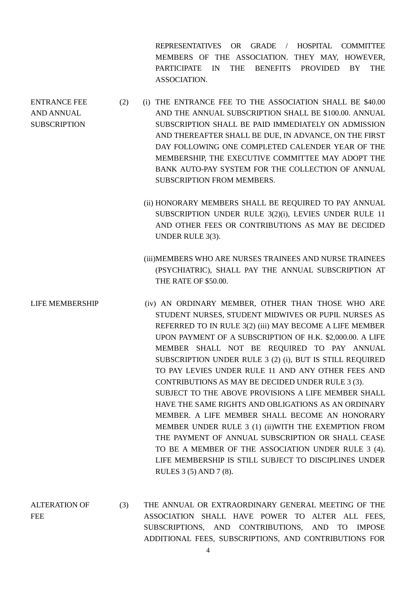REPRESENTATIVES OR GRADE / HOSPITAL COMMITTEE MEMBERS OF THE ASSOCIATION. THEY MAY, HOWEVER, PARTICIPATE IN THE BENEFITS PROVIDED BY THE ASSOCIATION.

(2) (i) THE ENTRANCE FEE TO THE ASSOCIATION SHALL BE \$40.00 AND THE ANNUAL SUBSCRIPTION SHALL BE \$100.00. ANNUAL SUBSCRIPTION SHALL BE PAID IMMEDIATELY ON ADMISSION AND THEREAFTER SHALL BE DUE, IN ADVANCE, ON THE FIRST DAY FOLLOWING ONE COMPLETED CALENDER YEAR OF THE MEMBERSHIP, THE EXECUTIVE COMMITTEE MAY ADOPT THE BANK AUTO-PAY SYSTEM FOR THE COLLECTION OF ANNUAL SUBSCRIPTION FROM MEMBERS.

ENTRANCE FEE AND ANNUAL **SUBSCRIPTION** 

- (ii) HONORARY MEMBERS SHALL BE REQUIRED TO PAY ANNUAL SUBSCRIPTION UNDER RULE 3(2)(i), LEVIES UNDER RULE 11 AND OTHER FEES OR CONTRIBUTIONS AS MAY BE DECIDED UNDER RULE 3(3).
- (iii)MEMBERS WHO ARE NURSES TRAINEES AND NURSE TRAINEES (PSYCHIATRIC), SHALL PAY THE ANNUAL SUBSCRIPTION AT THE RATE OF \$50.00.
- LIFE MEMBERSHIP (iv) AN ORDINARY MEMBER, OTHER THAN THOSE WHO ARE STUDENT NURSES, STUDENT MIDWIVES OR PUPIL NURSES AS REFERRED TO IN RULE 3(2) (iii) MAY BECOME A LIFE MEMBER UPON PAYMENT OF A SUBSCRIPTION OF H.K. \$2,000.00. A LIFE MEMBER SHALL NOT BE REQUIRED TO PAY ANNUAL SUBSCRIPTION UNDER RULE 3 (2) (i), BUT IS STILL REQUIRED TO PAY LEVIES UNDER RULE 11 AND ANY OTHER FEES AND CONTRIBUTIONS AS MAY BE DECIDED UNDER RULE 3 (3). SUBJECT TO THE ABOVE PROVISIONS A LIFE MEMBER SHALL HAVE THE SAME RIGHTS AND OBLIGATIONS AS AN ORDINARY MEMBER. A LIFE MEMBER SHALL BECOME AN HONORARY MEMBER UNDER RULE 3 (1) (ii)WITH THE EXEMPTION FROM THE PAYMENT OF ANNUAL SUBSCRIPTION OR SHALL CEASE TO BE A MEMBER OF THE ASSOCIATION UNDER RULE 3 (4). LIFE MEMBERSHIP IS STILL SUBJECT TO DISCIPLINES UNDER RULES 3 (5) AND 7 (8).
- ALTERATION OF FEE (3) THE ANNUAL OR EXTRAORDINARY GENERAL MEETING OF THE ASSOCIATION SHALL HAVE POWER TO ALTER ALL FEES, SUBSCRIPTIONS, AND CONTRIBUTIONS, AND TO IMPOSE ADDITIONAL FEES, SUBSCRIPTIONS, AND CONTRIBUTIONS FOR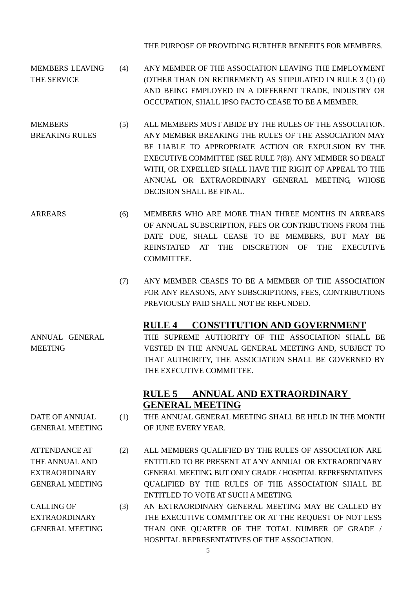THE PURPOSE OF PROVIDING FURTHER BENEFITS FOR MEMBERS.

- MEMBERS LEAVING THE SERVICE (4) ANY MEMBER OF THE ASSOCIATION LEAVING THE EMPLOYMENT (OTHER THAN ON RETIREMENT) AS STIPULATED IN RULE 3 (1) (i) AND BEING EMPLOYED IN A DIFFERENT TRADE, INDUSTRY OR OCCUPATION, SHALL IPSO FACTO CEASE TO BE A MEMBER.
- **MEMBERS** BREAKING RULES (5) ALL MEMBERS MUST ABIDE BY THE RULES OF THE ASSOCIATION. ANY MEMBER BREAKING THE RULES OF THE ASSOCIATION MAY BE LIABLE TO APPROPRIATE ACTION OR EXPULSION BY THE EXECUTIVE COMMITTEE (SEE RULE 7(8)). ANY MEMBER SO DEALT WITH, OR EXPELLED SHALL HAVE THE RIGHT OF APPEAL TO THE ANNUAL OR EXTRAORDINARY GENERAL MEETING, WHOSE DECISION SHALL BE FINAL.
- ARREARS (6) MEMBERS WHO ARE MORE THAN THREE MONTHS IN ARREARS OF ANNUAL SUBSCRIPTION, FEES OR CONTRIBUTIONS FROM THE DATE DUE, SHALL CEASE TO BE MEMBERS, BUT MAY BE REINSTATED AT THE DISCRETION OF THE EXECUTIVE COMMITTEE.
	- (7) ANY MEMBER CEASES TO BE A MEMBER OF THE ASSOCIATION FOR ANY REASONS, ANY SUBSCRIPTIONS, FEES, CONTRIBUTIONS PREVIOUSLY PAID SHALL NOT BE REFUNDED.

#### **RULE 4 CONSTITUTION AND GOVERNMENT**

ANNUAL GENERAL MEETING THE SUPREME AUTHORITY OF THE ASSOCIATION SHALL BE VESTED IN THE ANNUAL GENERAL MEETING AND, SUBJECT TO THAT AUTHORITY, THE ASSOCIATION SHALL BE GOVERNED BY THE EXECUTIVE COMMITTEE.

# **RULE 5 ANNUAL AND EXTRAORDINARY GENERAL MEETING**

- (1) THE ANNUAL GENERAL MEETING SHALL BE HELD IN THE MONTH OF JUNE EVERY YEAR.
- (2) ALL MEMBERS QUALIFIED BY THE RULES OF ASSOCIATION ARE ENTITLED TO BE PRESENT AT ANY ANNUAL OR EXTRAORDINARY GENERAL MEETING. BUT ONLY GRADE / HOSPITAL REPRESENTATIVES QUALIFIED BY THE RULES OF THE ASSOCIATION SHALL BE ENTITLED TO VOTE AT SUCH A MEETING.
	- (3) AN EXTRAORDINARY GENERAL MEETING MAY BE CALLED BY THE EXECUTIVE COMMITTEE OR AT THE REQUEST OF NOT LESS THAN ONE QUARTER OF THE TOTAL NUMBER OF GRADE / HOSPITAL REPRESENTATIVES OF THE ASSOCIATION.

ATTENDANCE AT

DATE OF ANNUAL GENERAL MEETING

#### THE ANNUAL AND EXTRAORDINARY GENERAL MEETING

CALLING OF EXTRAORDINARY GENERAL MEETING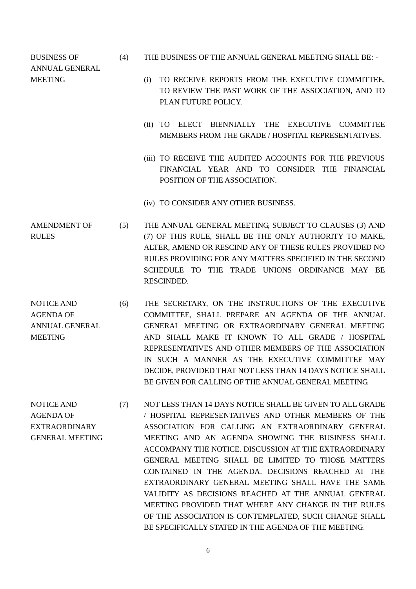BUSINESS OF ANNUAL GENERAL

- (4) THE BUSINESS OF THE ANNUAL GENERAL MEETING SHALL BE: -
- MEETING (i) TO RECEIVE REPORTS FROM THE EXECUTIVE COMMITTEE, TO REVIEW THE PAST WORK OF THE ASSOCIATION, AND TO PLAN FUTURE POLICY.
	- (ii) TO ELECT BIENNIALLY THE EXECUTIVE COMMITTEE MEMBERS FROM THE GRADE / HOSPITAL REPRESENTATIVES.
	- (iii) TO RECEIVE THE AUDITED ACCOUNTS FOR THE PREVIOUS FINANCIAL YEAR AND TO CONSIDER THE FINANCIAL POSITION OF THE ASSOCIATION.
	- (iv) TO CONSIDER ANY OTHER BUSINESS.
- AMENDMENT OF RULES (5) THE ANNUAL GENERAL MEETING, SUBJECT TO CLAUSES (3) AND (7) OF THIS RULE, SHALL BE THE ONLY AUTHORITY TO MAKE, ALTER, AMEND OR RESCIND ANY OF THESE RULES PROVIDED NO RULES PROVIDING FOR ANY MATTERS SPECIFIED IN THE SECOND SCHEDULE TO THE TRADE UNIONS ORDINANCE MAY BE RESCINDED.
- NOTICE AND AGENDA OF ANNUAL GENERAL MEETING (6) THE SECRETARY, ON THE INSTRUCTIONS OF THE EXECUTIVE COMMITTEE, SHALL PREPARE AN AGENDA OF THE ANNUAL GENERAL MEETING OR EXTRAORDINARY GENERAL MEETING AND SHALL MAKE IT KNOWN TO ALL GRADE / HOSPITAL REPRESENTATIVES AND OTHER MEMBERS OF THE ASSOCIATION IN SUCH A MANNER AS THE EXECUTIVE COMMITTEE MAY DECIDE, PROVIDED THAT NOT LESS THAN 14 DAYS NOTICE SHALL BE GIVEN FOR CALLING OF THE ANNUAL GENERAL MEETING.
- NOTICE AND AGENDA OF EXTRAORDINARY GENERAL MEETING (7) NOT LESS THAN 14 DAYS NOTICE SHALL BE GIVEN TO ALL GRADE / HOSPITAL REPRESENTATIVES AND OTHER MEMBERS OF THE ASSOCIATION FOR CALLING AN EXTRAORDINARY GENERAL MEETING AND AN AGENDA SHOWING THE BUSINESS SHALL ACCOMPANY THE NOTICE. DISCUSSION AT THE EXTRAORDINARY GENERAL MEETING SHALL BE LIMITED TO THOSE MATTERS CONTAINED IN THE AGENDA. DECISIONS REACHED AT THE EXTRAORDINARY GENERAL MEETING SHALL HAVE THE SAME VALIDITY AS DECISIONS REACHED AT THE ANNUAL GENERAL MEETING PROVIDED THAT WHERE ANY CHANGE IN THE RULES OF THE ASSOCIATION IS CONTEMPLATED, SUCH CHANGE SHALL BE SPECIFICALLY STATED IN THE AGENDA OF THE MEETING.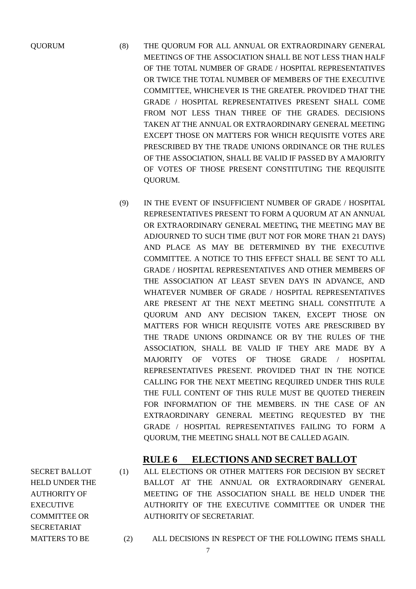SECRET BALLOT

AUTHORITY OF EXECUTIVE COMMITTEE OR SECRETARIAT

- QUORUM (8) THE QUORUM FOR ALL ANNUAL OR EXTRAORDINARY GENERAL MEETINGS OF THE ASSOCIATION SHALL BE NOT LESS THAN HALF OF THE TOTAL NUMBER OF GRADE / HOSPITAL REPRESENTATIVES OR TWICE THE TOTAL NUMBER OF MEMBERS OF THE EXECUTIVE COMMITTEE, WHICHEVER IS THE GREATER. PROVIDED THAT THE GRADE / HOSPITAL REPRESENTATIVES PRESENT SHALL COME FROM NOT LESS THAN THREE OF THE GRADES. DECISIONS TAKEN AT THE ANNUAL OR EXTRAORDINARY GENERAL MEETING EXCEPT THOSE ON MATTERS FOR WHICH REQUISITE VOTES ARE PRESCRIBED BY THE TRADE UNIONS ORDINANCE OR THE RULES OF THE ASSOCIATION, SHALL BE VALID IF PASSED BY A MAJORITY OF VOTES OF THOSE PRESENT CONSTITUTING THE REQUISITE QUORUM.
	- (9) IN THE EVENT OF INSUFFICIENT NUMBER OF GRADE / HOSPITAL REPRESENTATIVES PRESENT TO FORM A QUORUM AT AN ANNUAL OR EXTRAORDINARY GENERAL MEETING, THE MEETING MAY BE ADJOURNED TO SUCH TIME (BUT NOT FOR MORE THAN 21 DAYS) AND PLACE AS MAY BE DETERMINED BY THE EXECUTIVE COMMITTEE. A NOTICE TO THIS EFFECT SHALL BE SENT TO ALL GRADE / HOSPITAL REPRESENTATIVES AND OTHER MEMBERS OF THE ASSOCIATION AT LEAST SEVEN DAYS IN ADVANCE, AND WHATEVER NUMBER OF GRADE / HOSPITAL REPRESENTATIVES ARE PRESENT AT THE NEXT MEETING SHALL CONSTITUTE A QUORUM AND ANY DECISION TAKEN, EXCEPT THOSE ON MATTERS FOR WHICH REQUISITE VOTES ARE PRESCRIBED BY THE TRADE UNIONS ORDINANCE OR BY THE RULES OF THE ASSOCIATION, SHALL BE VALID IF THEY ARE MADE BY A MAJORITY OF VOTES OF THOSE GRADE / HOSPITAL REPRESENTATIVES PRESENT. PROVIDED THAT IN THE NOTICE CALLING FOR THE NEXT MEETING REQUIRED UNDER THIS RULE THE FULL CONTENT OF THIS RULE MUST BE QUOTED THEREIN FOR INFORMATION OF THE MEMBERS. IN THE CASE OF AN EXTRAORDINARY GENERAL MEETING REQUESTED BY THE GRADE / HOSPITAL REPRESENTATIVES FAILING TO FORM A QUORUM, THE MEETING SHALL NOT BE CALLED AGAIN.

#### **RULE 6 ELECTIONS AND SECRET BALLOT**

- HELD UNDER THE (1) ALL ELECTIONS OR OTHER MATTERS FOR DECISION BY SECRET BALLOT AT THE ANNUAL OR EXTRAORDINARY GENERAL MEETING OF THE ASSOCIATION SHALL BE HELD UNDER THE AUTHORITY OF THE EXECUTIVE COMMITTEE OR UNDER THE AUTHORITY OF SECRETARIAT.
- MATTERS TO BE (2) ALL DECISIONS IN RESPECT OF THE FOLLOWING ITEMS SHALL
-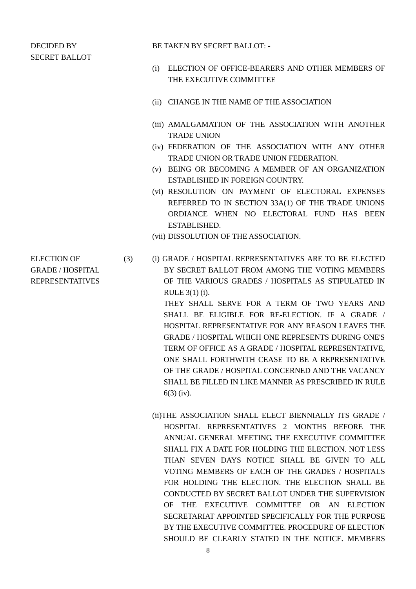#### DECIDED BY SECRET BALLOT

BE TAKEN BY SECRET BALLOT: -

- (i) ELECTION OF OFFICE-BEARERS AND OTHER MEMBERS OF THE EXECUTIVE COMMITTEE
- (ii) CHANGE IN THE NAME OF THE ASSOCIATION
- (iii) AMALGAMATION OF THE ASSOCIATION WITH ANOTHER TRADE UNION
- (iv) FEDERATION OF THE ASSOCIATION WITH ANY OTHER TRADE UNION OR TRADE UNION FEDERATION.
- (v) BEING OR BECOMING A MEMBER OF AN ORGANIZATION ESTABLISHED IN FOREIGN COUNTRY.
- (vi) RESOLUTION ON PAYMENT OF ELECTORAL EXPENSES REFERRED TO IN SECTION 33A(1) OF THE TRADE UNIONS ORDIANCE WHEN NO ELECTORAL FUND HAS BEEN ESTABLISHED.
- (vii) DISSOLUTION OF THE ASSOCIATION.
- (3) (i) GRADE / HOSPITAL REPRESENTATIVES ARE TO BE ELECTED BY SECRET BALLOT FROM AMONG THE VOTING MEMBERS OF THE VARIOUS GRADES / HOSPITALS AS STIPULATED IN RULE 3(1) (i).

THEY SHALL SERVE FOR A TERM OF TWO YEARS AND SHALL BE ELIGIBLE FOR RE-ELECTION. IF A GRADE / HOSPITAL REPRESENTATIVE FOR ANY REASON LEAVES THE GRADE / HOSPITAL WHICH ONE REPRESENTS DURING ONE'S TERM OF OFFICE AS A GRADE / HOSPITAL REPRESENTATIVE, ONE SHALL FORTHWITH CEASE TO BE A REPRESENTATIVE OF THE GRADE / HOSPITAL CONCERNED AND THE VACANCY SHALL BE FILLED IN LIKE MANNER AS PRESCRIBED IN RULE 6(3) (iv).

(ii)THE ASSOCIATION SHALL ELECT BIENNIALLY ITS GRADE / HOSPITAL REPRESENTATIVES 2 MONTHS BEFORE THE ANNUAL GENERAL MEETING. THE EXECUTIVE COMMITTEE SHALL FIX A DATE FOR HOLDING THE ELECTION. NOT LESS THAN SEVEN DAYS NOTICE SHALL BE GIVEN TO ALL VOTING MEMBERS OF EACH OF THE GRADES / HOSPITALS FOR HOLDING THE ELECTION. THE ELECTION SHALL BE CONDUCTED BY SECRET BALLOT UNDER THE SUPERVISION OF THE EXECUTIVE COMMITTEE OR AN ELECTION SECRETARIAT APPOINTED SPECIFICALLY FOR THE PURPOSE BY THE EXECUTIVE COMMITTEE. PROCEDURE OF ELECTION SHOULD BE CLEARLY STATED IN THE NOTICE. MEMBERS

ELECTION OF GRADE / HOSPITAL REPRESENTATIVES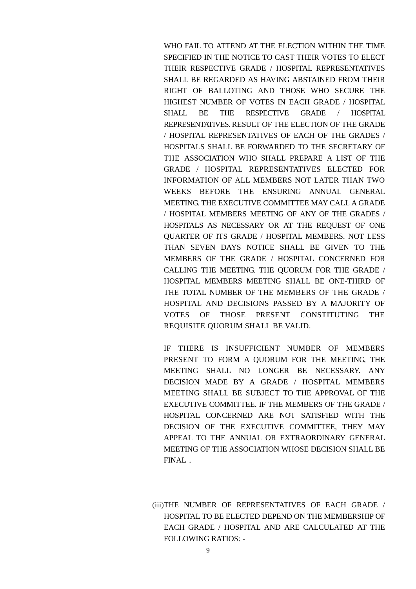WHO FAIL TO ATTEND AT THE ELECTION WITHIN THE TIME SPECIFIED IN THE NOTICE TO CAST THEIR VOTES TO ELECT THEIR RESPECTIVE GRADE / HOSPITAL REPRESENTATIVES SHALL BE REGARDED AS HAVING ABSTAINED FROM THEIR RIGHT OF BALLOTING AND THOSE WHO SECURE THE HIGHEST NUMBER OF VOTES IN EACH GRADE / HOSPITAL SHALL BE THE RESPECTIVE GRADE / HOSPITAL REPRESENTATIVES. RESULT OF THE ELECTION OF THE GRADE / HOSPITAL REPRESENTATIVES OF EACH OF THE GRADES / HOSPITALS SHALL BE FORWARDED TO THE SECRETARY OF THE ASSOCIATION WHO SHALL PREPARE A LIST OF THE GRADE / HOSPITAL REPRESENTATIVES ELECTED FOR INFORMATION OF ALL MEMBERS NOT LATER THAN TWO WEEKS BEFORE THE ENSURING ANNUAL GENERAL MEETING. THE EXECUTIVE COMMITTEE MAY CALL A GRADE / HOSPITAL MEMBERS MEETING OF ANY OF THE GRADES / HOSPITALS AS NECESSARY OR AT THE REQUEST OF ONE QUARTER OF ITS GRADE / HOSPITAL MEMBERS. NOT LESS THAN SEVEN DAYS NOTICE SHALL BE GIVEN TO THE MEMBERS OF THE GRADE / HOSPITAL CONCERNED FOR CALLING THE MEETING. THE QUORUM FOR THE GRADE / HOSPITAL MEMBERS MEETING SHALL BE ONE-THIRD OF THE TOTAL NUMBER OF THE MEMBERS OF THE GRADE / HOSPITAL AND DECISIONS PASSED BY A MAJORITY OF VOTES OF THOSE PRESENT CONSTITUTING THE REQUISITE QUORUM SHALL BE VALID.

IF THERE IS INSUFFICIENT NUMBER OF MEMBERS PRESENT TO FORM A QUORUM FOR THE MEETING, THE MEETING SHALL NO LONGER BE NECESSARY. ANY DECISION MADE BY A GRADE / HOSPITAL MEMBERS MEETING SHALL BE SUBJECT TO THE APPROVAL OF THE EXECUTIVE COMMITTEE. IF THE MEMBERS OF THE GRADE / HOSPITAL CONCERNED ARE NOT SATISFIED WITH THE DECISION OF THE EXECUTIVE COMMITTEE, THEY MAY APPEAL TO THE ANNUAL OR EXTRAORDINARY GENERAL MEETING OF THE ASSOCIATION WHOSE DECISION SHALL BE FINAL.

(iii)THE NUMBER OF REPRESENTATIVES OF EACH GRADE / HOSPITAL TO BE ELECTED DEPEND ON THE MEMBERSHIP OF EACH GRADE / HOSPITAL AND ARE CALCULATED AT THE FOLLOWING RATIOS: -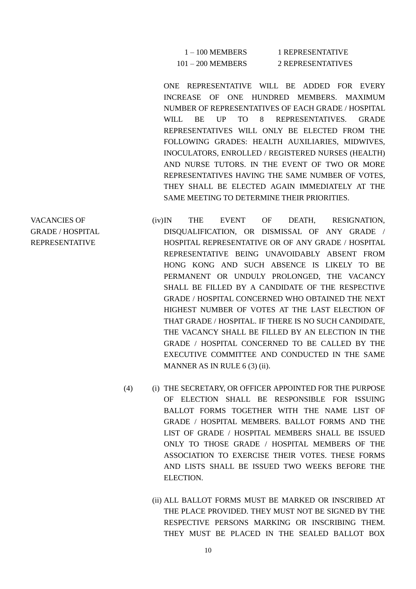| $1 - 100$ MEMBERS   | 1 REPRESENTATIVE  |
|---------------------|-------------------|
| $101 - 200$ MEMBERS | 2 REPRESENTATIVES |

ONE REPRESENTATIVE WILL BE ADDED FOR EVERY INCREASE OF ONE HUNDRED MEMBERS. MAXIMUM NUMBER OF REPRESENTATIVES OF EACH GRADE / HOSPITAL WILL BE UP TO 8 REPRESENTATIVES. GRADE REPRESENTATIVES WILL ONLY BE ELECTED FROM THE FOLLOWING GRADES: HEALTH AUXILIARIES, MIDWIVES, INOCULATORS, ENROLLED / REGISTERED NURSES (HEALTH) AND NURSE TUTORS. IN THE EVENT OF TWO OR MORE REPRESENTATIVES HAVING THE SAME NUMBER OF VOTES, THEY SHALL BE ELECTED AGAIN IMMEDIATELY AT THE SAME MEETING TO DETERMINE THEIR PRIORITIES.

- (iv)IN THE EVENT OF DEATH, RESIGNATION, DISQUALIFICATION, OR DISMISSAL OF ANY GRADE / HOSPITAL REPRESENTATIVE OR OF ANY GRADE / HOSPITAL REPRESENTATIVE BEING UNAVOIDABLY ABSENT FROM HONG KONG AND SUCH ABSENCE IS LIKELY TO BE PERMANENT OR UNDULY PROLONGED, THE VACANCY SHALL BE FILLED BY A CANDIDATE OF THE RESPECTIVE GRADE / HOSPITAL CONCERNED WHO OBTAINED THE NEXT HIGHEST NUMBER OF VOTES AT THE LAST ELECTION OF THAT GRADE / HOSPITAL. IF THERE IS NO SUCH CANDIDATE, THE VACANCY SHALL BE FILLED BY AN ELECTION IN THE GRADE / HOSPITAL CONCERNED TO BE CALLED BY THE EXECUTIVE COMMITTEE AND CONDUCTED IN THE SAME MANNER AS IN RULE 6 (3) (ii).
	- (4) (i) THE SECRETARY, OR OFFICER APPOINTED FOR THE PURPOSE OF ELECTION SHALL BE RESPONSIBLE FOR ISSUING BALLOT FORMS TOGETHER WITH THE NAME LIST OF GRADE / HOSPITAL MEMBERS. BALLOT FORMS AND THE LIST OF GRADE / HOSPITAL MEMBERS SHALL BE ISSUED ONLY TO THOSE GRADE / HOSPITAL MEMBERS OF THE ASSOCIATION TO EXERCISE THEIR VOTES. THESE FORMS AND LISTS SHALL BE ISSUED TWO WEEKS BEFORE THE ELECTION.
		- (ii) ALL BALLOT FORMS MUST BE MARKED OR INSCRIBED AT THE PLACE PROVIDED. THEY MUST NOT BE SIGNED BY THE RESPECTIVE PERSONS MARKING OR INSCRIBING THEM. THEY MUST BE PLACED IN THE SEALED BALLOT BOX

VACANCIES OF GRADE / HOSPITAL REPRESENTATIVE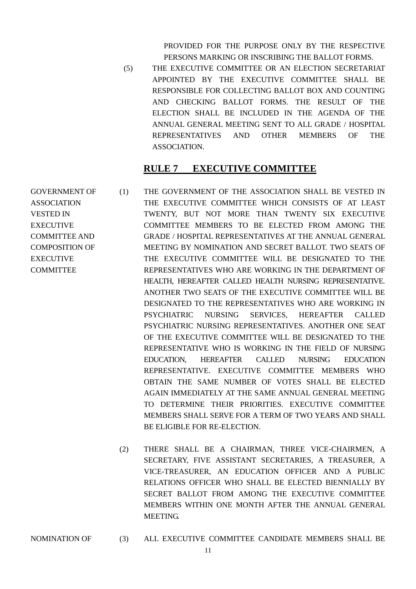PROVIDED FOR THE PURPOSE ONLY BY THE RESPECTIVE PERSONS MARKING OR INSCRIBING THE BALLOT FORMS.

(5) THE EXECUTIVE COMMITTEE OR AN ELECTION SECRETARIAT APPOINTED BY THE EXECUTIVE COMMITTEE SHALL BE RESPONSIBLE FOR COLLECTING BALLOT BOX AND COUNTING AND CHECKING BALLOT FORMS. THE RESULT OF THE ELECTION SHALL BE INCLUDED IN THE AGENDA OF THE ANNUAL GENERAL MEETING SENT TO ALL GRADE / HOSPITAL REPRESENTATIVES AND OTHER MEMBERS OF THE ASSOCIATION.

#### **RULE 7 EXECUTIVE COMMITTEE**

- GOVERNMENT OF ASSOCIATION VESTED IN EXECUTIVE COMMITTEE AND COMPOSITION OF **EXECUTIVE** COMMITTEE (1) THE GOVERNMENT OF THE ASSOCIATION SHALL BE VESTED IN THE EXECUTIVE COMMITTEE WHICH CONSISTS OF AT LEAST TWENTY, BUT NOT MORE THAN TWENTY SIX EXECUTIVE COMMITTEE MEMBERS TO BE ELECTED FROM AMONG THE GRADE / HOSPITAL REPRESENTATIVES AT THE ANNUAL GENERAL MEETING BY NOMINATION AND SECRET BALLOT. TWO SEATS OF THE EXECUTIVE COMMITTEE WILL BE DESIGNATED TO THE REPRESENTATIVES WHO ARE WORKING IN THE DEPARTMENT OF HEALTH, HEREAFTER CALLED HEALTH NURSING REPRESENTATIVE. ANOTHER TWO SEATS OF THE EXECUTIVE COMMITTEE WILL BE DESIGNATED TO THE REPRESENTATIVES WHO ARE WORKING IN PSYCHIATRIC NURSING SERVICES, HEREAFTER CALLED PSYCHIATRIC NURSING REPRESENTATIVES. ANOTHER ONE SEAT OF THE EXECUTIVE COMMITTEE WILL BE DESIGNATED TO THE REPRESENTATIVE WHO IS WORKING IN THE FIELD OF NURSING EDUCATION, HEREAFTER CALLED NURSING EDUCATION REPRESENTATIVE. EXECUTIVE COMMITTEE MEMBERS WHO OBTAIN THE SAME NUMBER OF VOTES SHALL BE ELECTED AGAIN IMMEDIATELY AT THE SAME ANNUAL GENERAL MEETING TO DETERMINE THEIR PRIORITIES. EXECUTIVE COMMITTEE MEMBERS SHALL SERVE FOR A TERM OF TWO YEARS AND SHALL BE ELIGIBLE FOR RE-ELECTION.
	- (2) THERE SHALL BE A CHAIRMAN, THREE VICE-CHAIRMEN, A SECRETARY, FIVE ASSISTANT SECRETARIES, A TREASURER, A VICE-TREASURER, AN EDUCATION OFFICER AND A PUBLIC RELATIONS OFFICER WHO SHALL BE ELECTED BIENNIALLY BY SECRET BALLOT FROM AMONG THE EXECUTIVE COMMITTEE MEMBERS WITHIN ONE MONTH AFTER THE ANNUAL GENERAL MEETING.
- NOMINATION OF (3) ALL EXECUTIVE COMMITTEE CANDIDATE MEMBERS SHALL BE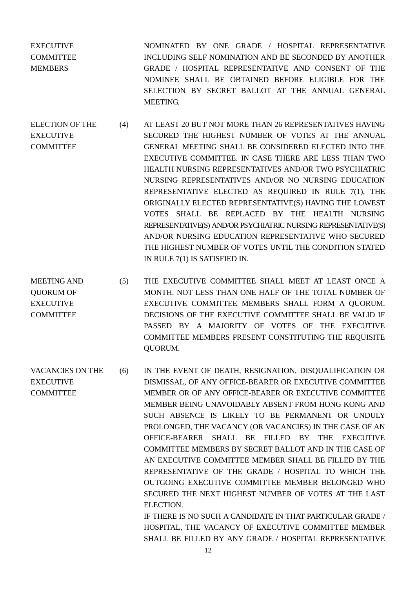EXECUTIVE **COMMITTEE MEMBERS** NOMINATED BY ONE GRADE / HOSPITAL REPRESENTATIVE INCLUDING SELF NOMINATION AND BE SECONDED BY ANOTHER GRADE / HOSPITAL REPRESENTATIVE AND CONSENT OF THE NOMINEE SHALL BE OBTAINED BEFORE ELIGIBLE FOR THE SELECTION BY SECRET BALLOT AT THE ANNUAL GENERAL **MEETING.** 

- ELECTION OF THE **EXECUTIVE COMMITTEE** (4) AT LEAST 20 BUT NOT MORE THAN 26 REPRESENTATIVES HAVING SECURED THE HIGHEST NUMBER OF VOTES AT THE ANNUAL GENERAL MEETING SHALL BE CONSIDERED ELECTED INTO THE EXECUTIVE COMMITTEE. IN CASE THERE ARE LESS THAN TWO HEALTH NURSING REPRESENTATIVES AND/OR TWO PSYCHIATRIC NURSING REPRESENTATIVES AND/OR NO NURSING EDUCATION REPRESENTATIVE ELECTED AS REQUIRED IN RULE 7(1), THE ORIGINALLY ELECTED REPRESENTATIVE(S) HAVING THE LOWEST VOTES SHALL BE REPLACED BY THE HEALTH NURSING REPRESENTATIVE(S) AND/OR PSYCHIATRIC NURSING REPRESENTATIVE(S) AND/OR NURSING EDUCATION REPRESENTATIVE WHO SECURED THE HIGHEST NUMBER OF VOTES UNTIL THE CONDITION STATED IN RULE 7(1) IS SATISFIED IN.
- MEETING AND QUORUM OF EXECUTIVE COMMITTEE (5) THE EXECUTIVE COMMITTEE SHALL MEET AT LEAST ONCE A MONTH. NOT LESS THAN ONE HALF OF THE TOTAL NUMBER OF EXECUTIVE COMMITTEE MEMBERS SHALL FORM A QUORUM. DECISIONS OF THE EXECUTIVE COMMITTEE SHALL BE VALID IF PASSED BY A MAJORITY OF VOTES OF THE EXECUTIVE COMMITTEE MEMBERS PRESENT CONSTITUTING THE REQUISITE QUORUM.
- VACANCIES ON THE **EXECUTIVE COMMITTEE** (6) IN THE EVENT OF DEATH, RESIGNATION, DISQUALIFICATION OR DISMISSAL, OF ANY OFFICE-BEARER OR EXECUTIVE COMMITTEE MEMBER OR OF ANY OFFICE-BEARER OR EXECUTIVE COMMITTEE MEMBER BEING UNAVOIDABLY ABSENT FROM HONG KONG AND SUCH ABSENCE IS LIKELY TO BE PERMANENT OR UNDULY PROLONGED, THE VACANCY (OR VACANCIES) IN THE CASE OF AN OFFICE-BEARER SHALL BE FILLED BY THE EXECUTIVE COMMITTEE MEMBERS BY SECRET BALLOT AND IN THE CASE OF AN EXECUTIVE COMMITTEE MEMBER SHALL BE FILLED BY THE REPRESENTATIVE OF THE GRADE / HOSPITAL TO WHICH THE OUTGOING EXECUTIVE COMMITTEE MEMBER BELONGED WHO SECURED THE NEXT HIGHEST NUMBER OF VOTES AT THE LAST ELECTION. IF THERE IS NO SUCH A CANDIDATE IN THAT PARTICULAR GRADE / HOSPITAL, THE VACANCY OF EXECUTIVE COMMITTEE MEMBER

SHALL BE FILLED BY ANY GRADE / HOSPITAL REPRESENTATIVE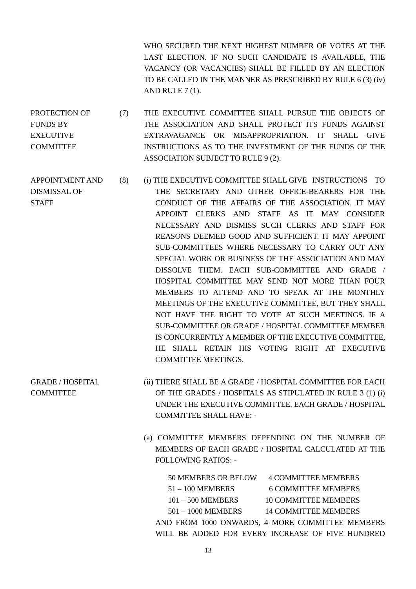WHO SECURED THE NEXT HIGHEST NUMBER OF VOTES AT THE LAST ELECTION. IF NO SUCH CANDIDATE IS AVAILABLE, THE VACANCY (OR VACANCIES) SHALL BE FILLED BY AN ELECTION TO BE CALLED IN THE MANNER AS PRESCRIBED BY RULE 6 (3) (iv) AND RULE 7 (1).

- PROTECTION OF FUNDS BY **EXECUTIVE** COMMITTEE (7) THE EXECUTIVE COMMITTEE SHALL PURSUE THE OBJECTS OF THE ASSOCIATION AND SHALL PROTECT ITS FUNDS AGAINST EXTRAVAGANCE OR MISAPPROPRIATION. IT SHALL GIVE INSTRUCTIONS AS TO THE INVESTMENT OF THE FUNDS OF THE ASSOCIATION SUBJECT TO RULE 9 (2).
- APPOINTMENT AND DISMISSAL OF **STAFF** (8) (i) THE EXECUTIVE COMMITTEE SHALL GIVE INSTRUCTIONS TO THE SECRETARY AND OTHER OFFICE-BEARERS FOR THE CONDUCT OF THE AFFAIRS OF THE ASSOCIATION. IT MAY APPOINT CLERKS AND STAFF AS IT MAY CONSIDER NECESSARY AND DISMISS SUCH CLERKS AND STAFF FOR REASONS DEEMED GOOD AND SUFFICIENT. IT MAY APPOINT SUB-COMMITTEES WHERE NECESSARY TO CARRY OUT ANY SPECIAL WORK OR BUSINESS OF THE ASSOCIATION AND MAY DISSOLVE THEM. EACH SUB-COMMITTEE AND GRADE / HOSPITAL COMMITTEE MAY SEND NOT MORE THAN FOUR MEMBERS TO ATTEND AND TO SPEAK AT THE MONTHLY MEETINGS OF THE EXECUTIVE COMMITTEE, BUT THEY SHALL NOT HAVE THE RIGHT TO VOTE AT SUCH MEETINGS. IF A SUB-COMMITTEE OR GRADE / HOSPITAL COMMITTEE MEMBER IS CONCURRENTLY A MEMBER OF THE EXECUTIVE COMMITTEE, HE SHALL RETAIN HIS VOTING RIGHT AT EXECUTIVE COMMITTEE MEETINGS.
- GRADE / HOSPITAL **COMMITTEE** (ii) THERE SHALL BE A GRADE / HOSPITAL COMMITTEE FOR EACH OF THE GRADES / HOSPITALS AS STIPULATED IN RULE 3 (1) (i) UNDER THE EXECUTIVE COMMITTEE. EACH GRADE / HOSPITAL COMMITTEE SHALL HAVE: -
	- (a) COMMITTEE MEMBERS DEPENDING ON THE NUMBER OF MEMBERS OF EACH GRADE / HOSPITAL CALCULATED AT THE FOLLOWING RATIOS: -

| <b>50 MEMBERS OR BELOW</b> | <b>4 COMMITTEE MEMBERS</b>                       |
|----------------------------|--------------------------------------------------|
| $51 - 100$ MEMBERS         | <b>6 COMMITTEE MEMBERS</b>                       |
| $101 - 500$ MEMBERS        | <b>10 COMMITTEE MEMBERS</b>                      |
| $501 - 1000$ MEMBERS       | <b>14 COMMITTEE MEMBERS</b>                      |
|                            | AND FROM 1000 ONWARDS, 4 MORE COMMITTEE MEMBERS  |
|                            | WILL BE ADDED FOR EVERY INCREASE OF FIVE HUNDRED |
|                            |                                                  |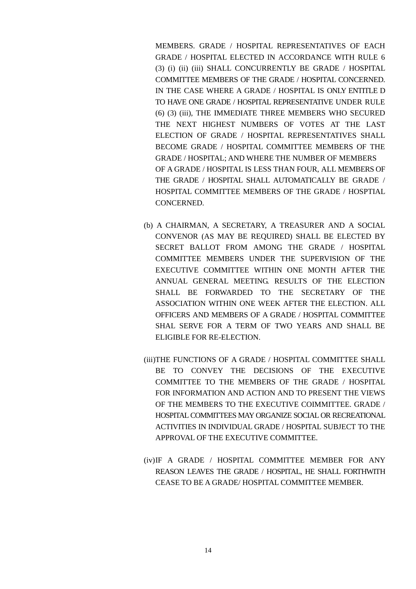MEMBERS. GRADE / HOSPITAL REPRESENTATIVES OF EACH GRADE / HOSPITAL ELECTED IN ACCORDANCE WITH RULE 6 (3) (i) (ii) (iii) SHALL CONCURRENTLY BE GRADE / HOSPITAL COMMITTEE MEMBERS OF THE GRADE / HOSPITAL CONCERNED. IN THE CASE WHERE A GRADE / HOSPITAL IS ONLY ENTITLE D TO HAVE ONE GRADE / HOSPITAL REPRESENTATIVE UNDER RULE (6) (3) (iii), THE IMMEDIATE THREE MEMBERS WHO SECURED THE NEXT HIGHEST NUMBERS OF VOTES AT THE LAST ELECTION OF GRADE / HOSPITAL REPRESENTATIVES SHALL BECOME GRADE / HOSPITAL COMMITTEE MEMBERS OF THE GRADE / HOSPITAL; AND WHERE THE NUMBER OF MEMBERS OF A GRADE / HOSPITAL IS LESS THAN FOUR, ALL MEMBERS OF THE GRADE / HOSPITAL SHALL AUTOMATICALLY BE GRADE / HOSPITAL COMMITTEE MEMBERS OF THE GRADE / HOSPTIAL CONCERNED.

- (b) A CHAIRMAN, A SECRETARY, A TREASURER AND A SOCIAL CONVENOR (AS MAY BE REQUIRED) SHALL BE ELECTED BY SECRET BALLOT FROM AMONG THE GRADE / HOSPITAL COMMITTEE MEMBERS UNDER THE SUPERVISION OF THE EXECUTIVE COMMITTEE WITHIN ONE MONTH AFTER THE ANNUAL GENERAL MEETING. RESULTS OF THE ELECTION SHALL BE FORWARDED TO THE SECRETARY OF THE ASSOCIATION WITHIN ONE WEEK AFTER THE ELECTION. ALL OFFICERS AND MEMBERS OF A GRADE / HOSPITAL COMMITTEE SHAL SERVE FOR A TERM OF TWO YEARS AND SHALL BE ELIGIBLE FOR RE-ELECTION.
- (iii)THE FUNCTIONS OF A GRADE / HOSPITAL COMMITTEE SHALL BE TO CONVEY THE DECISIONS OF THE EXECUTIVE COMMITTEE TO THE MEMBERS OF THE GRADE / HOSPITAL FOR INFORMATION AND ACTION AND TO PRESENT THE VIEWS OF THE MEMBERS TO THE EXECUTIVE COIMMITTEE. GRADE / HOSPITAL COMMITTEES MAY ORGANIZE SOCIAL OR RECREATIONAL ACTIVITIES IN INDIVIDUAL GRADE / HOSPITAL SUBJECT TO THE APPROVAL OF THE EXECUTIVE COMMITTEE.
- (iv)IF A GRADE / HOSPITAL COMMITTEE MEMBER FOR ANY REASON LEAVES THE GRADE / HOSPITAL, HE SHALL FORTHWITH CEASE TO BE A GRADE/ HOSPITAL COMMITTEE MEMBER.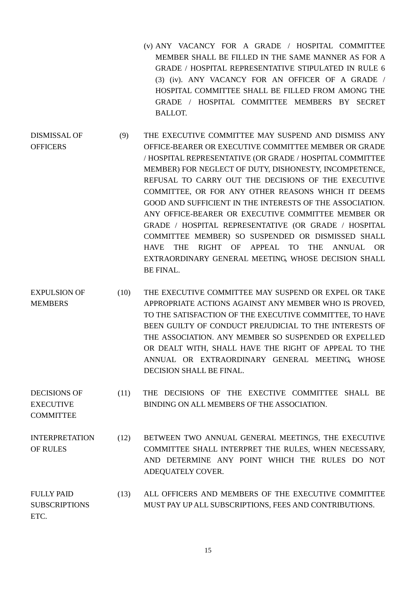- (v) ANY VACANCY FOR A GRADE / HOSPITAL COMMITTEE MEMBER SHALL BE FILLED IN THE SAME MANNER AS FOR A GRADE / HOSPITAL REPRESENTATIVE STIPULATED IN RULE 6 (3) (iv). ANY VACANCY FOR AN OFFICER OF A GRADE / HOSPITAL COMMITTEE SHALL BE FILLED FROM AMONG THE GRADE / HOSPITAL COMMITTEE MEMBERS BY SECRET BALLOT.
- DISMISSAL OF **OFFICERS** (9) THE EXECUTIVE COMMITTEE MAY SUSPEND AND DISMISS ANY OFFICE-BEARER OR EXECUTIVE COMMITTEE MEMBER OR GRADE / HOSPITAL REPRESENTATIVE (OR GRADE / HOSPITAL COMMITTEE MEMBER) FOR NEGLECT OF DUTY, DISHONESTY, INCOMPETENCE, REFUSAL TO CARRY OUT THE DECISIONS OF THE EXECUTIVE COMMITTEE, OR FOR ANY OTHER REASONS WHICH IT DEEMS GOOD AND SUFFICIENT IN THE INTERESTS OF THE ASSOCIATION. ANY OFFICE-BEARER OR EXECUTIVE COMMITTEE MEMBER OR GRADE / HOSPITAL REPRESENTATIVE (OR GRADE / HOSPITAL COMMITTEE MEMBER) SO SUSPENDED OR DISMISSED SHALL HAVE THE RIGHT OF APPEAL TO THE ANNUAL OR EXTRAORDINARY GENERAL MEETING, WHOSE DECISION SHALL BE FINAL.
- EXPULSION OF MEMBERS (10) THE EXECUTIVE COMMITTEE MAY SUSPEND OR EXPEL OR TAKE APPROPRIATE ACTIONS AGAINST ANY MEMBER WHO IS PROVED, TO THE SATISFACTION OF THE EXECUTIVE COMMITTEE, TO HAVE BEEN GUILTY OF CONDUCT PREJUDICIAL TO THE INTERESTS OF THE ASSOCIATION. ANY MEMBER SO SUSPENDED OR EXPELLED OR DEALT WITH, SHALL HAVE THE RIGHT OF APPEAL TO THE ANNUAL OR EXTRAORDINARY GENERAL MEETING, WHOSE DECISION SHALL BE FINAL.

DECISIONS OF EXECUTIVE (11) THE DECISIONS OF THE EXECTIVE COMMITTEE SHALL BE BINDING ON ALL MEMBERS OF THE ASSOCIATION.

COMMITTEE

- INTERPRETATION OF RULES (12) BETWEEN TWO ANNUAL GENERAL MEETINGS, THE EXECUTIVE COMMITTEE SHALL INTERPRET THE RULES, WHEN NECESSARY, AND DETERMINE ANY POINT WHICH THE RULES DO NOT ADEQUATELY COVER.
- FULLY PAID **SUBSCRIPTIONS** ETC. (13) ALL OFFICERS AND MEMBERS OF THE EXECUTIVE COMMITTEE MUST PAY UP ALL SUBSCRIPTIONS, FEES AND CONTRIBUTIONS.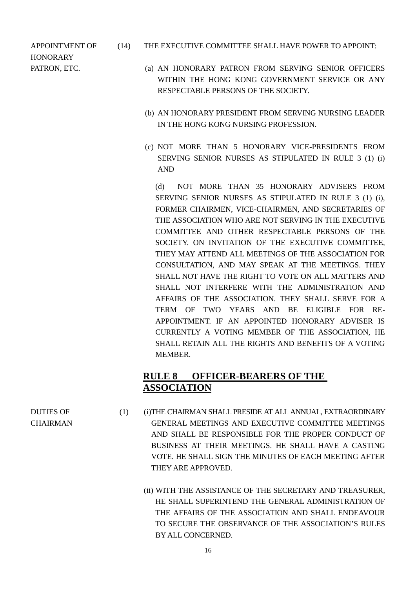APPOINTMENT OF HONORARY

- (14) THE EXECUTIVE COMMITTEE SHALL HAVE POWER TO APPOINT:
- PATRON, ETC. (a) AN HONORARY PATRON FROM SERVING SENIOR OFFICERS WITHIN THE HONG KONG GOVERNMENT SERVICE OR ANY RESPECTABLE PERSONS OF THE SOCIETY.
	- (b) AN HONORARY PRESIDENT FROM SERVING NURSING LEADER IN THE HONG KONG NURSING PROFESSION.
	- (c) NOT MORE THAN 5 HONORARY VICE-PRESIDENTS FROM SERVING SENIOR NURSES AS STIPULATED IN RULE 3 (1) (i) AND

(d) NOT MORE THAN 35 HONORARY ADVISERS FROM SERVING SENIOR NURSES AS STIPULATED IN RULE 3 (1) (i), FORMER CHAIRMEN, VICE-CHAIRMEN, AND SECRETARIES OF THE ASSOCIATION WHO ARE NOT SERVING IN THE EXECUTIVE COMMITTEE AND OTHER RESPECTABLE PERSONS OF THE SOCIETY. ON INVITATION OF THE EXECUTIVE COMMITTEE, THEY MAY ATTEND ALL MEETINGS OF THE ASSOCIATION FOR CONSULTATION, AND MAY SPEAK AT THE MEETINGS. THEY SHALL NOT HAVE THE RIGHT TO VOTE ON ALL MATTERS AND SHALL NOT INTERFERE WITH THE ADMINISTRATION AND AFFAIRS OF THE ASSOCIATION. THEY SHALL SERVE FOR A TERM OF TWO YEARS AND BE ELIGIBLE FOR RE-APPOINTMENT. IF AN APPOINTED HONORARY ADVISER IS CURRENTLY A VOTING MEMBER OF THE ASSOCIATION, HE SHALL RETAIN ALL THE RIGHTS AND BENEFITS OF A VOTING MEMBER.

# **RULE 8 OFFICER-BEARERS OF THE ASSOCIATION**

- (1) (i)THE CHAIRMAN SHALL PRESIDE AT ALL ANNUAL, EXTRAORDINARY GENERAL MEETINGS AND EXECUTIVE COMMITTEE MEETINGS AND SHALL BE RESPONSIBLE FOR THE PROPER CONDUCT OF BUSINESS AT THEIR MEETINGS. HE SHALL HAVE A CASTING VOTE. HE SHALL SIGN THE MINUTES OF EACH MEETING AFTER THEY ARE APPROVED.
	- (ii) WITH THE ASSISTANCE OF THE SECRETARY AND TREASURER, HE SHALL SUPERINTEND THE GENERAL ADMINISTRATION OF THE AFFAIRS OF THE ASSOCIATION AND SHALL ENDEAVOUR TO SECURE THE OBSERVANCE OF THE ASSOCIATION'S RULES BY ALL CONCERNED.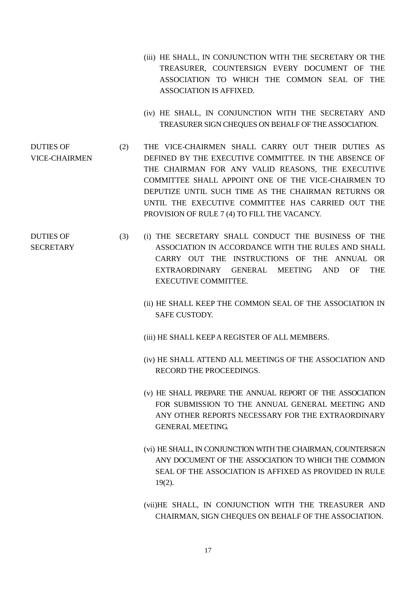- (iii) HE SHALL, IN CONJUNCTION WITH THE SECRETARY OR THE TREASURER, COUNTERSIGN EVERY DOCUMENT OF THE ASSOCIATION TO WHICH THE COMMON SEAL OF THE ASSOCIATION IS AFFIXED.
- (iv) HE SHALL, IN CONJUNCTION WITH THE SECRETARY AND TREASURER SIGN CHEQUES ON BEHALF OF THE ASSOCIATION.
- DUTIES OF VICE-CHAIRMEN (2) THE VICE-CHAIRMEN SHALL CARRY OUT THEIR DUTIES AS DEFINED BY THE EXECUTIVE COMMITTEE. IN THE ABSENCE OF THE CHAIRMAN FOR ANY VALID REASONS, THE EXECUTIVE COMMITTEE SHALL APPOINT ONE OF THE VICE-CHAIRMEN TO DEPUTIZE UNTIL SUCH TIME AS THE CHAIRMAN RETURNS OR UNTIL THE EXECUTIVE COMMITTEE HAS CARRIED OUT THE PROVISION OF RULE 7 (4) TO FILL THE VACANCY.
- DUTIES OF SECRETARY (3) (i) THE SECRETARY SHALL CONDUCT THE BUSINESS OF THE ASSOCIATION IN ACCORDANCE WITH THE RULES AND SHALL CARRY OUT THE INSTRUCTIONS OF THE ANNUAL OR EXTRAORDINARY GENERAL MEETING AND OF THE EXECUTIVE COMMITTEE.
	- (ii) HE SHALL KEEP THE COMMON SEAL OF THE ASSOCIATION IN SAFE CUSTODY.
	- (iii) HE SHALL KEEP A REGISTER OF ALL MEMBERS.
	- (iv) HE SHALL ATTEND ALL MEETINGS OF THE ASSOCIATION AND RECORD THE PROCEEDINGS.
	- (v) HE SHALL PREPARE THE ANNUAL REPORT OF THE ASSOCIATION FOR SUBMISSION TO THE ANNUAL GENERAL MEETING AND ANY OTHER REPORTS NECESSARY FOR THE EXTRAORDINARY GENERAL MEETING.
	- (vi) HE SHALL, IN CONJUNCTION WITH THE CHAIRMAN, COUNTERSIGN ANY DOCUMENT OF THE ASSOCIATION TO WHICH THE COMMON SEAL OF THE ASSOCIATION IS AFFIXED AS PROVIDED IN RULE 19(2).
	- (vii)HE SHALL, IN CONJUNCTION WITH THE TREASURER AND CHAIRMAN, SIGN CHEQUES ON BEHALF OF THE ASSOCIATION.

17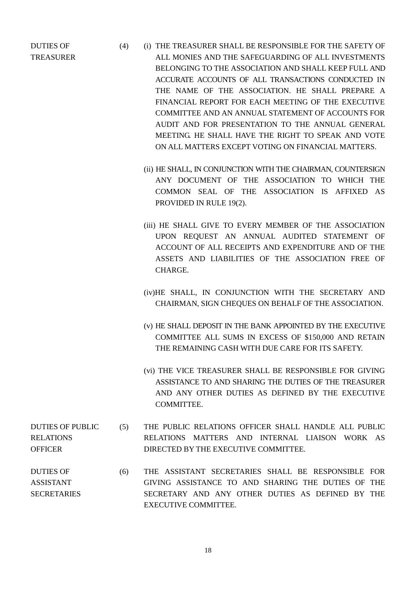DUTIES OF TREASURER

- (4) (i) THE TREASURER SHALL BE RESPONSIBLE FOR THE SAFETY OF ALL MONIES AND THE SAFEGUARDING OF ALL INVESTMENTS BELONGING TO THE ASSOCIATION AND SHALL KEEP FULL AND ACCURATE ACCOUNTS OF ALL TRANSACTIONS CONDUCTED IN THE NAME OF THE ASSOCIATION. HE SHALL PREPARE A FINANCIAL REPORT FOR EACH MEETING OF THE EXECUTIVE COMMITTEE AND AN ANNUAL STATEMENT OF ACCOUNTS FOR AUDIT AND FOR PRESENTATION TO THE ANNUAL GENERAL MEETING. HE SHALL HAVE THE RIGHT TO SPEAK AND VOTE ON ALL MATTERS EXCEPT VOTING ON FINANCIAL MATTERS.
	- (ii) HE SHALL, IN CONJUNCTION WITH THE CHAIRMAN, COUNTERSIGN ANY DOCUMENT OF THE ASSOCIATION TO WHICH THE COMMON SEAL OF THE ASSOCIATION IS AFFIXED AS PROVIDED IN RULE 19(2).
	- (iii) HE SHALL GIVE TO EVERY MEMBER OF THE ASSOCIATION UPON REQUEST AN ANNUAL AUDITED STATEMENT OF ACCOUNT OF ALL RECEIPTS AND EXPENDITURE AND OF THE ASSETS AND LIABILITIES OF THE ASSOCIATION FREE OF CHARGE.
	- (iv)HE SHALL, IN CONJUNCTION WITH THE SECRETARY AND CHAIRMAN, SIGN CHEQUES ON BEHALF OF THE ASSOCIATION.
	- (v) HE SHALL DEPOSIT IN THE BANK APPOINTED BY THE EXECUTIVE COMMITTEE ALL SUMS IN EXCESS OF \$150,000 AND RETAIN THE REMAINING CASH WITH DUE CARE FOR ITS SAFETY.
	- (vi) THE VICE TREASURER SHALL BE RESPONSIBLE FOR GIVING ASSISTANCE TO AND SHARING THE DUTIES OF THE TREASURER AND ANY OTHER DUTIES AS DEFINED BY THE EXECUTIVE COMMITTEE.
- DUTIES OF PUBLIC RELATIONS **OFFICER** (5) THE PUBLIC RELATIONS OFFICER SHALL HANDLE ALL PUBLIC RELATIONS MATTERS AND INTERNAL LIAISON WORK AS DIRECTED BY THE EXECUTIVE COMMITTEE.
- DUTIES OF ASSISTANT **SECRETARIES** (6) THE ASSISTANT SECRETARIES SHALL BE RESPONSIBLE FOR GIVING ASSISTANCE TO AND SHARING THE DUTIES OF THE SECRETARY AND ANY OTHER DUTIES AS DEFINED BY THE EXECUTIVE COMMITTEE.

18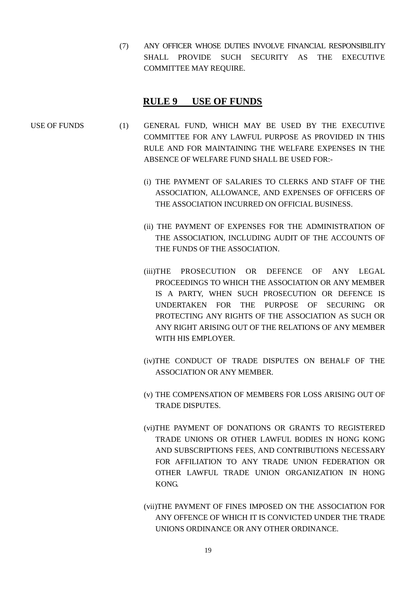(7) ANY OFFICER WHOSE DUTIES INVOLVE FINANCIAL RESPONSIBILITY SHALL PROVIDE SUCH SECURITY AS THE EXECUTIVE COMMITTEE MAY REQUIRE.

#### **RULE 9 USE OF FUNDS**

- USE OF FUNDS (1) GENERAL FUND, WHICH MAY BE USED BY THE EXECUTIVE COMMITTEE FOR ANY LAWFUL PURPOSE AS PROVIDED IN THIS RULE AND FOR MAINTAINING THE WELFARE EXPENSES IN THE ABSENCE OF WELFARE FUND SHALL BE USED FOR:-
	- (i) THE PAYMENT OF SALARIES TO CLERKS AND STAFF OF THE ASSOCIATION, ALLOWANCE, AND EXPENSES OF OFFICERS OF THE ASSOCIATION INCURRED ON OFFICIAL BUSINESS.
	- (ii) THE PAYMENT OF EXPENSES FOR THE ADMINISTRATION OF THE ASSOCIATION, INCLUDING AUDIT OF THE ACCOUNTS OF THE FUNDS OF THE ASSOCIATION.
	- (iii)THE PROSECUTION OR DEFENCE OF ANY LEGAL PROCEEDINGS TO WHICH THE ASSOCIATION OR ANY MEMBER IS A PARTY, WHEN SUCH PROSECUTION OR DEFENCE IS UNDERTAKEN FOR THE PURPOSE OF SECURING OR PROTECTING ANY RIGHTS OF THE ASSOCIATION AS SUCH OR ANY RIGHT ARISING OUT OF THE RELATIONS OF ANY MEMBER WITH HIS EMPLOYER.
	- (iv)THE CONDUCT OF TRADE DISPUTES ON BEHALF OF THE ASSOCIATION OR ANY MEMBER.
	- (v) THE COMPENSATION OF MEMBERS FOR LOSS ARISING OUT OF TRADE DISPUTES.
	- (vi)THE PAYMENT OF DONATIONS OR GRANTS TO REGISTERED TRADE UNIONS OR OTHER LAWFUL BODIES IN HONG KONG AND SUBSCRIPTIONS FEES, AND CONTRIBUTIONS NECESSARY FOR AFFILIATION TO ANY TRADE UNION FEDERATION OR OTHER LAWFUL TRADE UNION ORGANIZATION IN HONG KONG.
	- (vii)THE PAYMENT OF FINES IMPOSED ON THE ASSOCIATION FOR ANY OFFENCE OF WHICH IT IS CONVICTED UNDER THE TRADE UNIONS ORDINANCE OR ANY OTHER ORDINANCE.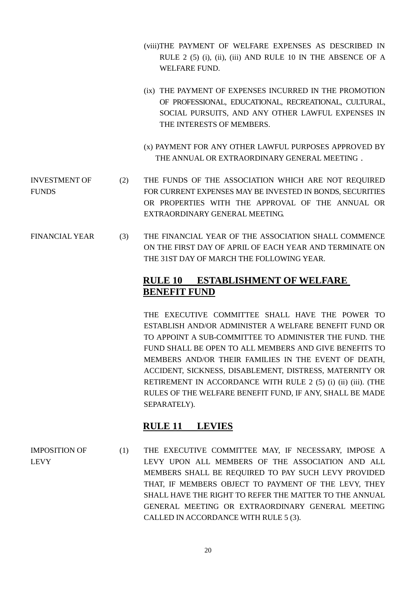- (viii)THE PAYMENT OF WELFARE EXPENSES AS DESCRIBED IN RULE 2 (5) (i), (ii), (iii) AND RULE 10 IN THE ABSENCE OF A WELFARE FUND.
- (ix) THE PAYMENT OF EXPENSES INCURRED IN THE PROMOTION OF PROFESSIONAL, EDUCATIONAL, RECREATIONAL, CULTURAL, SOCIAL PURSUITS, AND ANY OTHER LAWFUL EXPENSES IN THE INTERESTS OF MEMBERS.
- (x) PAYMENT FOR ANY OTHER LAWFUL PURPOSES APPROVED BY THE ANNUAL OR EXTRAORDINARY GENERAL MEETING.
- INVESTMENT OF **FUNDS** (2) THE FUNDS OF THE ASSOCIATION WHICH ARE NOT REQUIRED FOR CURRENT EXPENSES MAY BE INVESTED IN BONDS, SECURITIES OR PROPERTIES WITH THE APPROVAL OF THE ANNUAL OR EXTRAORDINARY GENERAL MEETING.
- FINANCIAL YEAR (3) THE FINANCIAL YEAR OF THE ASSOCIATION SHALL COMMENCE ON THE FIRST DAY OF APRIL OF EACH YEAR AND TERMINATE ON THE 31ST DAY OF MARCH THE FOLLOWING YEAR.

# **RULE 10 ESTABLISHMENT OF WELFARE BENEFIT FUND**

THE EXECUTIVE COMMITTEE SHALL HAVE THE POWER TO ESTABLISH AND/OR ADMINISTER A WELFARE BENEFIT FUND OR TO APPOINT A SUB-COMMITTEE TO ADMINISTER THE FUND. THE FUND SHALL BE OPEN TO ALL MEMBERS AND GIVE BENEFITS TO MEMBERS AND/OR THEIR FAMILIES IN THE EVENT OF DEATH, ACCIDENT, SICKNESS, DISABLEMENT, DISTRESS, MATERNITY OR RETIREMENT IN ACCORDANCE WITH RULE 2 (5) (i) (ii) (iii). (THE RULES OF THE WELFARE BENEFIT FUND, IF ANY, SHALL BE MADE SEPARATELY).

# **RULE 11 LEVIES**

IMPOSITION OF LEVY (1) THE EXECUTIVE COMMITTEE MAY, IF NECESSARY, IMPOSE A LEVY UPON ALL MEMBERS OF THE ASSOCIATION AND ALL MEMBERS SHALL BE REQUIRED TO PAY SUCH LEVY PROVIDED THAT, IF MEMBERS OBJECT TO PAYMENT OF THE LEVY, THEY SHALL HAVE THE RIGHT TO REFER THE MATTER TO THE ANNUAL GENERAL MEETING OR EXTRAORDINARY GENERAL MEETING CALLED IN ACCORDANCE WITH RULE 5 (3).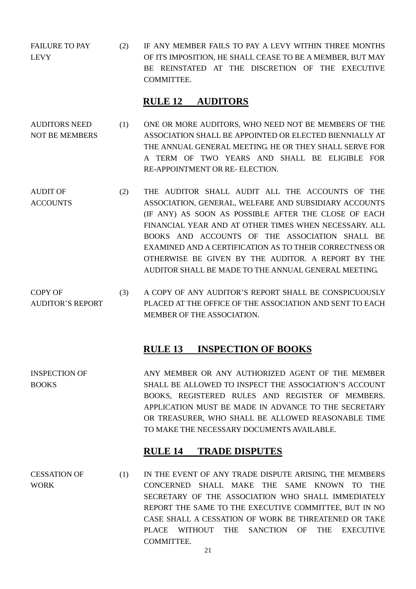FAILURE TO PAY LEVY (2) IF ANY MEMBER FAILS TO PAY A LEVY WITHIN THREE MONTHS OF ITS IMPOSITION, HE SHALL CEASE TO BE A MEMBER, BUT MAY BE REINSTATED AT THE DISCRETION OF THE EXECUTIVE COMMITTEE.

#### **RULE 12 AUDITORS**

- AUDITORS NEED NOT BE MEMBERS (1) ONE OR MORE AUDITORS, WHO NEED NOT BE MEMBERS OF THE ASSOCIATION SHALL BE APPOINTED OR ELECTED BIENNIALLY AT THE ANNUAL GENERAL MEETING. HE OR THEY SHALL SERVE FOR A TERM OF TWO YEARS AND SHALL BE ELIGIBLE FOR RE-APPOINTMENT OR RE- ELECTION.
- AUDIT OF ACCOUNTS (2) THE AUDITOR SHALL AUDIT ALL THE ACCOUNTS OF THE ASSOCIATION, GENERAL, WELFARE AND SUBSIDIARY ACCOUNTS (IF ANY) AS SOON AS POSSIBLE AFTER THE CLOSE OF EACH FINANCIAL YEAR AND AT OTHER TIMES WHEN NECESSARY. ALL BOOKS AND ACCOUNTS OF THE ASSOCIATION SHALL BE EXAMINED AND A CERTIFICATION AS TO THEIR CORRECTNESS OR OTHERWISE BE GIVEN BY THE AUDITOR. A REPORT BY THE AUDITOR SHALL BE MADE TO THE ANNUAL GENERAL MEETING.
- COPY OF AUDITOR'S REPORT (3) A COPY OF ANY AUDITOR'S REPORT SHALL BE CONSPICUOUSLY PLACED AT THE OFFICE OF THE ASSOCIATION AND SENT TO EACH MEMBER OF THE ASSOCIATION.

#### **RULE 13 INSPECTION OF BOOKS**

INSPECTION OF BOOKS ANY MEMBER OR ANY AUTHORIZED AGENT OF THE MEMBER SHALL BE ALLOWED TO INSPECT THE ASSOCIATION'S ACCOUNT BOOKS, REGISTERED RULES AND REGISTER OF MEMBERS. APPLICATION MUST BE MADE IN ADVANCE TO THE SECRETARY OR TREASURER, WHO SHALL BE ALLOWED REASONABLE TIME TO MAKE THE NECESSARY DOCUMENTS AVAILABLE.

#### **RULE 14 TRADE DISPUTES**

CESSATION OF WORK (1) IN THE EVENT OF ANY TRADE DISPUTE ARISING, THE MEMBERS CONCERNED SHALL MAKE THE SAME KNOWN TO THE SECRETARY OF THE ASSOCIATION WHO SHALL IMMEDIATELY REPORT THE SAME TO THE EXECUTIVE COMMITTEE, BUT IN NO CASE SHALL A CESSATION OF WORK BE THREATENED OR TAKE PLACE WITHOUT THE SANCTION OF THE EXECUTIVE COMMITTEE.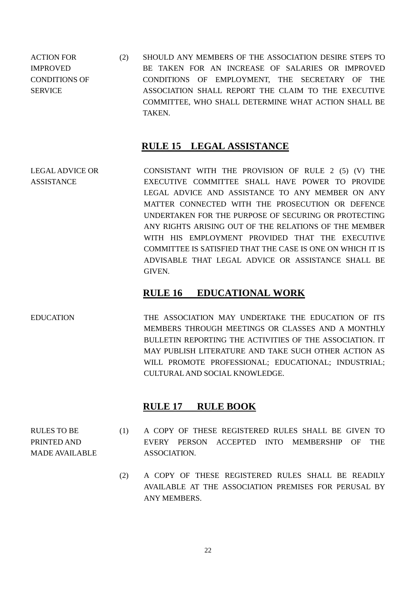ACTION FOR IMPROVED CONDITIONS OF **SERVICE** (2) SHOULD ANY MEMBERS OF THE ASSOCIATION DESIRE STEPS TO BE TAKEN FOR AN INCREASE OF SALARIES OR IMPROVED CONDITIONS OF EMPLOYMENT, THE SECRETARY OF THE ASSOCIATION SHALL REPORT THE CLAIM TO THE EXECUTIVE COMMITTEE, WHO SHALL DETERMINE WHAT ACTION SHALL BE TAKEN.

## **RULE 15 LEGAL ASSISTANCE**

LEGAL ADVICE OR ASSISTANCE CONSISTANT WITH THE PROVISION OF RULE 2 (5) (V) THE EXECUTIVE COMMITTEE SHALL HAVE POWER TO PROVIDE LEGAL ADVICE AND ASSISTANCE TO ANY MEMBER ON ANY MATTER CONNECTED WITH THE PROSECUTION OR DEFENCE UNDERTAKEN FOR THE PURPOSE OF SECURING OR PROTECTING ANY RIGHTS ARISING OUT OF THE RELATIONS OF THE MEMBER WITH HIS EMPLOYMENT PROVIDED THAT THE EXECUTIVE COMMITTEE IS SATISFIED THAT THE CASE IS ONE ON WHICH IT IS ADVISABLE THAT LEGAL ADVICE OR ASSISTANCE SHALL BE GIVEN.

# **RULE 16 EDUCATIONAL WORK**

EDUCATION THE ASSOCIATION MAY UNDERTAKE THE EDUCATION OF ITS MEMBERS THROUGH MEETINGS OR CLASSES AND A MONTHLY BULLETIN REPORTING THE ACTIVITIES OF THE ASSOCIATION. IT MAY PUBLISH LITERATURE AND TAKE SUCH OTHER ACTION AS WILL PROMOTE PROFESSIONAL; EDUCATIONAL; INDUSTRIAL; CULTURAL AND SOCIAL KNOWLEDGE.

# **RULE 17 RULE BOOK**

- RULES TO BE PRINTED AND MADE AVAILABLE (1) A COPY OF THESE REGISTERED RULES SHALL BE GIVEN TO EVERY PERSON ACCEPTED INTO MEMBERSHIP OF THE ASSOCIATION.
	- (2) A COPY OF THESE REGISTERED RULES SHALL BE READILY AVAILABLE AT THE ASSOCIATION PREMISES FOR PERUSAL BY ANY MEMBERS.